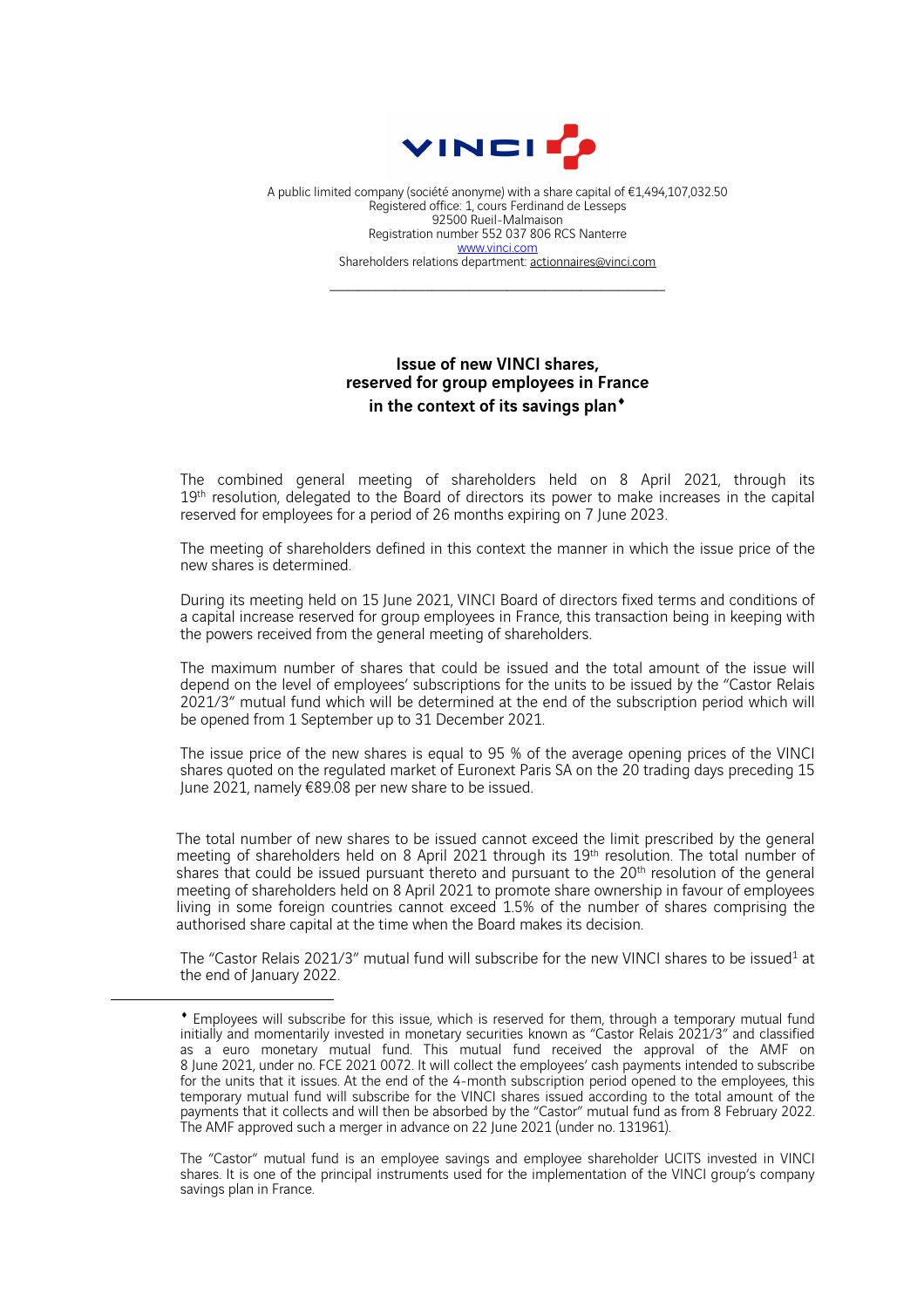

A public limited company (société anonyme) with a share capital of €1,494,107,032.50 Registered office: 1, cours Ferdinand de Lesseps 92500 Rueil-Malmaison Registration number 552 037 806 RCS Nanterre www.vinci.com Shareholders relations department: actionnaires@vinci.com

## Issue of new VINCI shares, reserved for group employees in France in the context of its savings plan<sup>\*</sup>

The combined general meeting of shareholders held on 8 April 2021, through its 19<sup>th</sup> resolution, delegated to the Board of directors its power to make increases in the capital reserved for employees for a period of 26 months expiring on 7 June 2023.

The meeting of shareholders defined in this context the manner in which the issue price of the new shares is determined.

During its meeting held on 15 June 2021, VINCI Board of directors fixed terms and conditions of a capital increase reserved for group employees in France, this transaction being in keeping with the powers received from the general meeting of shareholders.

The maximum number of shares that could be issued and the total amount of the issue will depend on the level of employees' subscriptions for the units to be issued by the "Castor Relais 2021/3" mutual fund which will be determined at the end of the subscription period which will be opened from 1 September up to 31 December 2021.

The issue price of the new shares is equal to 95 % of the average opening prices of the VINCI shares quoted on the regulated market of Euronext Paris SA on the 20 trading days preceding 15 June 2021, namely €89.08 per new share to be issued.

The total number of new shares to be issued cannot exceed the limit prescribed by the general meeting of shareholders held on 8 April 2021 through its 19th resolution. The total number of shares that could be issued pursuant thereto and pursuant to the 20<sup>th</sup> resolution of the general meeting of shareholders held on 8 April 2021 to promote share ownership in favour of employees living in some foreign countries cannot exceed 1.5% of the number of shares comprising the authorised share capital at the time when the Board makes its decision.

The "Castor Relais 2021/3" mutual fund will subscribe for the new VINCI shares to be issued<sup>1</sup> at the end of January 2022.

The "Castor" mutual fund is an employee savings and employee shareholder UCITS invested in VINCI shares. It is one of the principal instruments used for the implementation of the VINCI group's company savings plan in France.

<sup>¨</sup> Employees will subscribe for this issue, which is reserved for them, through a temporary mutual fund initially and momentarily invested in monetary securities known as "Castor Relais 2021/3" and classified as a euro monetary mutual fund. This mutual fund received the approval of the AMF on 8 June 2021, under no. FCE 2021 0072. It will collect the employees' cash payments intended to subscribe for the units that it issues. At the end of the 4-month subscription period opened to the employees, this temporary mutual fund will subscribe for the VINCI shares issued according to the total amount of the payments that it collects and will then be absorbed by the "Castor" mutual fund as from 8 February 2022. The AMF approved such a merger in advance on 22 June <sup>2021</sup> (under no. 131961).